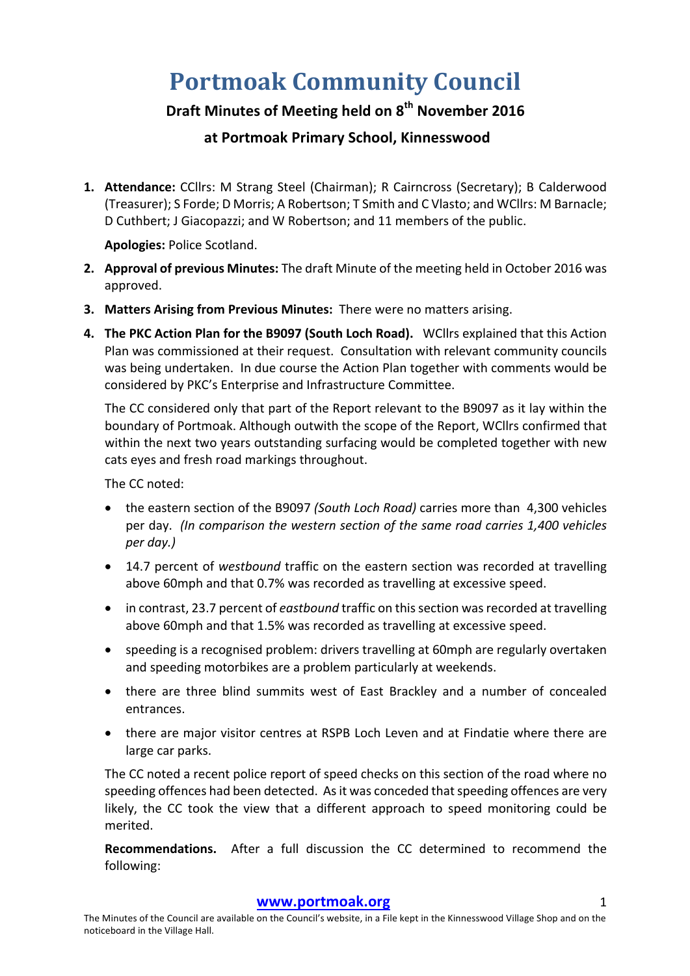# **Portmoak Community Council**

# **Draft Minutes of Meeting held on 8th November 2016**

# **at Portmoak Primary School, Kinnesswood**

1. Attendance: CCllrs: M Strang Steel (Chairman); R Cairncross (Secretary); B Calderwood (Treasurer); S Forde; D Morris; A Robertson; T Smith and C Vlasto; and WCllrs: M Barnacle; D Cuthbert; J Giacopazzi; and W Robertson; and 11 members of the public.

**Apologies:** Police Scotland.

- **2. Approval of previous Minutes:** The draft Minute of the meeting held in October 2016 was approved.
- **3.** Matters Arising from Previous Minutes: There were no matters arising.
- **4.** The PKC Action Plan for the B9097 (South Loch Road). WCllrs explained that this Action Plan was commissioned at their request. Consultation with relevant community councils was being undertaken. In due course the Action Plan together with comments would be considered by PKC's Enterprise and Infrastructure Committee.

The CC considered only that part of the Report relevant to the B9097 as it lay within the boundary of Portmoak. Although outwith the scope of the Report, WCllrs confirmed that within the next two years outstanding surfacing would be completed together with new cats eyes and fresh road markings throughout.

The CC noted:

- the eastern section of the B9097 (South Loch Road) carries more than 4,300 vehicles per day. (In comparison the western section of the same road carries 1,400 vehicles *per day.)*
- 14.7 percent of *westbound* traffic on the eastern section was recorded at travelling above 60mph and that 0.7% was recorded as travelling at excessive speed.
- in contrast, 23.7 percent of *eastbound* traffic on this section was recorded at travelling above 60mph and that 1.5% was recorded as travelling at excessive speed.
- speeding is a recognised problem: drivers travelling at 60mph are regularly overtaken and speeding motorbikes are a problem particularly at weekends.
- there are three blind summits west of East Brackley and a number of concealed entrances.
- there are major visitor centres at RSPB Loch Leven and at Findatie where there are large car parks.

The CC noted a recent police report of speed checks on this section of the road where no speeding offences had been detected. As it was conceded that speeding offences are very likely, the CC took the view that a different approach to speed monitoring could be merited. 

**Recommendations.** After a full discussion the CC determined to recommend the following:

### **www.portmoak.org** 1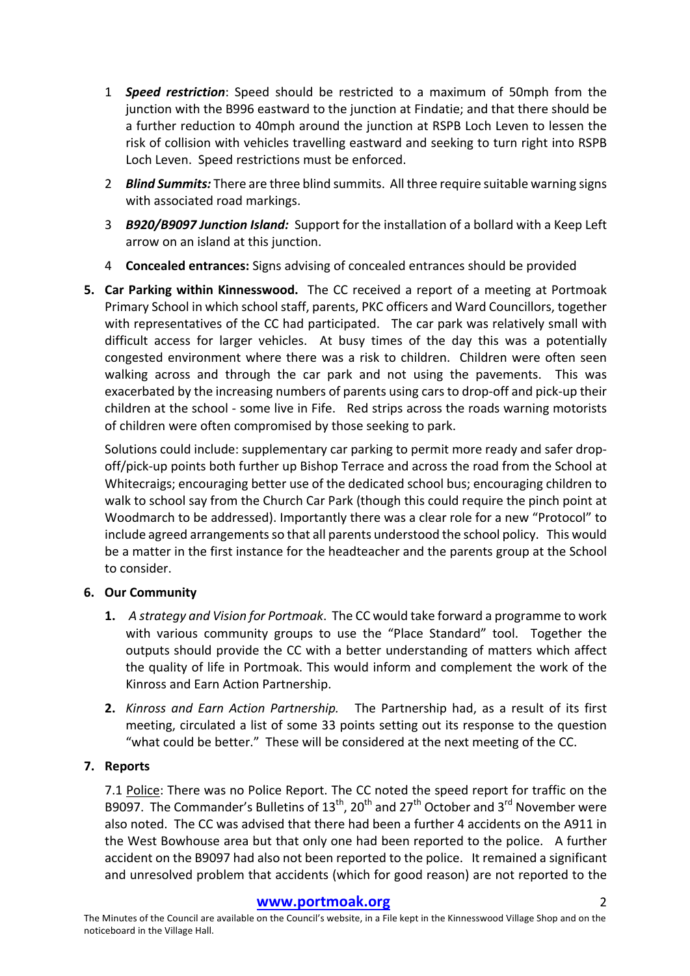- 1 **Speed restriction**: Speed should be restricted to a maximum of 50mph from the junction with the B996 eastward to the junction at Findatie; and that there should be a further reduction to 40mph around the junction at RSPB Loch Leven to lessen the risk of collision with vehicles travelling eastward and seeking to turn right into RSPB Loch Leven. Speed restrictions must be enforced.
- 2 **Blind Summits:** There are three blind summits. All three require suitable warning signs with associated road markings.
- 3 *B920/B9097 Junction Island:* Support for the installation of a bollard with a Keep Left arrow on an island at this junction.
- 4 **Concealed entrances:** Signs advising of concealed entrances should be provided
- **5.** Car Parking within Kinnesswood. The CC received a report of a meeting at Portmoak Primary School in which school staff, parents, PKC officers and Ward Councillors, together with representatives of the CC had participated. The car park was relatively small with difficult access for larger vehicles. At busy times of the day this was a potentially congested environment where there was a risk to children. Children were often seen walking across and through the car park and not using the pavements. This was exacerbated by the increasing numbers of parents using cars to drop-off and pick-up their children at the school - some live in Fife. Red strips across the roads warning motorists of children were often compromised by those seeking to park.

Solutions could include: supplementary car parking to permit more ready and safer dropoff/pick-up points both further up Bishop Terrace and across the road from the School at Whitecraigs; encouraging better use of the dedicated school bus; encouraging children to walk to school say from the Church Car Park (though this could require the pinch point at Woodmarch to be addressed). Importantly there was a clear role for a new "Protocol" to include agreed arrangements so that all parents understood the school policy. This would be a matter in the first instance for the headteacher and the parents group at the School to consider.

# **6. Our Community**

- **1.** A strategy and Vision for Portmoak. The CC would take forward a programme to work with various community groups to use the "Place Standard" tool. Together the outputs should provide the CC with a better understanding of matters which affect the quality of life in Portmoak. This would inform and complement the work of the Kinross and Earn Action Partnership.
- **2.** *Kinross and Earn Action Partnership.* The Partnership had, as a result of its first meeting, circulated a list of some 33 points setting out its response to the question "what could be better." These will be considered at the next meeting of the CC.

# **7. Reports**

7.1 Police: There was no Police Report. The CC noted the speed report for traffic on the B9097. The Commander's Bulletins of  $13^{th}$ , 20<sup>th</sup> and 27<sup>th</sup> October and 3<sup>rd</sup> November were also noted. The CC was advised that there had been a further 4 accidents on the A911 in the West Bowhouse area but that only one had been reported to the police. A further accident on the B9097 had also not been reported to the police. It remained a significant and unresolved problem that accidents (which for good reason) are not reported to the

#### **www.portmoak.org** 2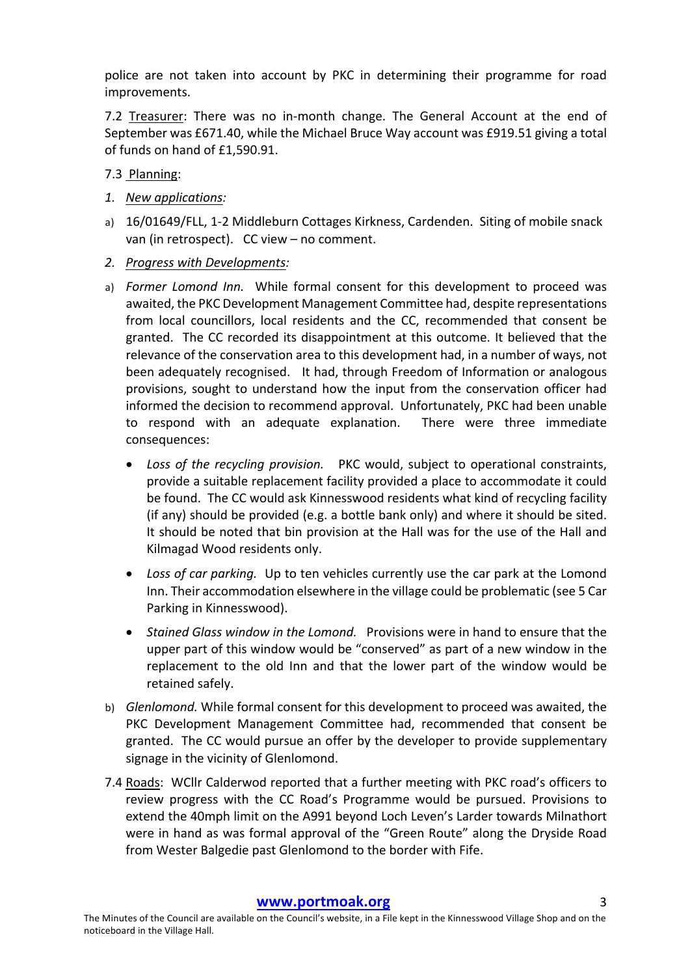police are not taken into account by PKC in determining their programme for road improvements.

7.2 Treasurer: There was no in-month change. The General Account at the end of September was £671.40, while the Michael Bruce Way account was £919.51 giving a total of funds on hand of £1,590.91.

7.3 Planning:

- *1. New applications:*
- a) 16/01649/FLL, 1-2 Middleburn Cottages Kirkness, Cardenden. Siting of mobile snack van (in retrospect).  $CC$  view – no comment.
- *2. Progress with Developments:*
- a) *Former Lomond Inn.* While formal consent for this development to proceed was awaited, the PKC Development Management Committee had, despite representations from local councillors, local residents and the CC, recommended that consent be granted. The CC recorded its disappointment at this outcome. It believed that the relevance of the conservation area to this development had, in a number of ways, not been adequately recognised. It had, through Freedom of Information or analogous provisions, sought to understand how the input from the conservation officer had informed the decision to recommend approval. Unfortunately, PKC had been unable to respond with an adequate explanation. There were three immediate consequences:
	- Loss of the recycling provision. PKC would, subject to operational constraints, provide a suitable replacement facility provided a place to accommodate it could be found. The CC would ask Kinnesswood residents what kind of recycling facility (if any) should be provided (e.g. a bottle bank only) and where it should be sited. It should be noted that bin provision at the Hall was for the use of the Hall and Kilmagad Wood residents only.
	- Loss of car parking. Up to ten vehicles currently use the car park at the Lomond Inn. Their accommodation elsewhere in the village could be problematic (see 5 Car Parking in Kinnesswood).
	- Stained Glass window in the Lomond. Provisions were in hand to ensure that the upper part of this window would be "conserved" as part of a new window in the replacement to the old Inn and that the lower part of the window would be retained safely.
- b) *Glenlomond*. While formal consent for this development to proceed was awaited, the PKC Development Management Committee had, recommended that consent be granted. The CC would pursue an offer by the developer to provide supplementary signage in the vicinity of Glenlomond.
- 7.4 Roads: WCllr Calderwod reported that a further meeting with PKC road's officers to review progress with the CC Road's Programme would be pursued. Provisions to extend the 40mph limit on the A991 beyond Loch Leven's Larder towards Milnathort were in hand as was formal approval of the "Green Route" along the Dryside Road from Wester Balgedie past Glenlomond to the border with Fife.